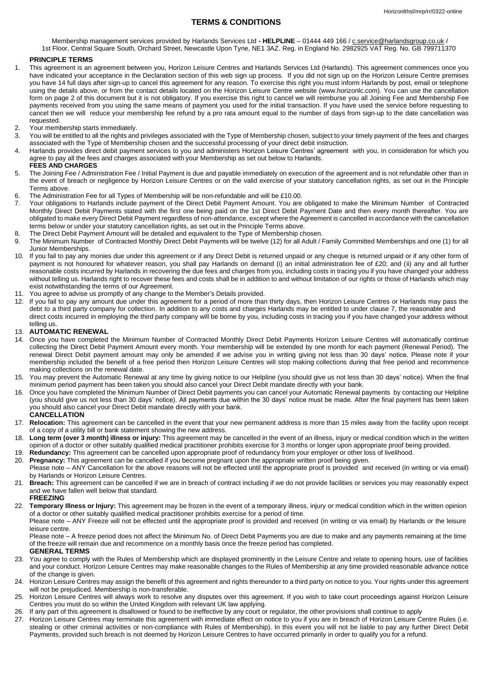# **TERMS & CONDITIONS**

Membership management services provided by Harlands Services Ltd - HELPLINE - 01444 449 166 / [c.service@harlandsgroup.co.uk](mailto:c.service@harlandsgroup.co.uk) / 1st Floor, Central Square South, Orchard Street, Newcastle Upon Tyne, NE1 3AZ. Reg. in England No. 2982925 VAT Reg. No. GB 799711370

## **PRINCIPLE TERMS**

- 1. This agreement is an agreement between you, Horizon Leisure Centres and Harlands Services Ltd (Harlands). This agreement commences once you have indicated your acceptance in the Declaration section of this web sign up process. If you did not sign up on the Horizon Leisure Centre premises you have 14 full days after sign-up to cancel this agreement for any reason. To exercise this right you must inform Harlands by post, email or telephone using the details above, or from the contact details located on the Horizon Leisure Centre website (www.horizonlc.com). You can use the cancellation form on page 2 of this document but it is not obligatory. If you exercise this right to cancel we will reimburse you all Joining Fee and Membership Fee payments received from you using the same means of payment you used for the initial transaction. If you have used the service before requesting to cancel then we will reduce your membership fee refund by a pro rata amount equal to the number of days from sign-up to the date cancellation was requested.
- 2. Your membership starts immediately.<br>3. You will be entitled to all the rights and
- You will be entitled to all the rights and privileges associated with the Type of Membership chosen, subject to your timely payment of the fees and charges associated with the Type of Membership chosen and the successful processing of your direct debit instruction.
- 4. Harlands provides direct debit payment services to you and administers Horizon Leisure Centres' agreement with you, in consideration for which you agree to pay all the fees and charges associated with your Membership as set out below to Harlands.
- **FEES AND CHARGES** 5. The Joining Fee / Administration Fee / Initial Payment is due and payable immediately on execution of the agreement and is not refundable other than in the event of breach or negligence by Horizon Leisure Centres or on the valid exercise of your statutory cancellation rights, as set out in the Principle Terms above.
- 6. The Administration Fee for all Types of Membership will be non-refundable and will be £10.00.
- 7. Your obligations to Harlands include payment of the Direct Debit Payment Amount. You are obligated to make the Minimum Number of Contracted Monthly Direct Debit Payments stated with the first one being paid on the 1st Direct Debit Payment Date and then every month thereafter. You are obligated to make every Direct Debit Payment regardless of non-attendance, except where the Agreement is cancelled in accordance with the cancellation terms below or under your statutory cancellation rights, as set out in the Principle Terms above.
- 8. The Direct Debit Payment Amount will be detailed and equivalent to the Type of Membership chosen.<br>9. The Minimum Number of Contracted Monthly Direct Debit Payments will be twelve (12) for all Adult / I
- 9. The Minimum Number of Contracted Monthly Direct Debit Payments will be twelve (12) for all Adult / Family Committed Memberships and one (1) for all Junior Memberships.
- 10. If you fail to pay any monies due under this agreement or if any Direct Debit is returned unpaid or any cheque is returned unpaid or if any other form of payment is not honoured for whatever reason, you shall pay Harlands on demand (i) an initial administration fee of £20; and (ii) any and all further reasonable costs incurred by Harlands in recovering the due fees and charges from you, including costs in tracing you if you have changed your address without telling us. Harlands right to recover these fees and costs shall be in addition to and without limitation of our rights or those of Harlands which may exist notwithstanding the terms of our Agreement.
- 11. You agree to advise us promptly of any change to the Member's Details provided.
- 12. If you fail to pay any amount due under this agreement for a period of more than thirty days, then Horizon Leisure Centres or Harlands may pass the debt to a third party company for collection. In addition to any costs and charges Harlands may be entitled to under clause 7, the reasonable and direct costs incurred in employing the third party company will be borne by you, including costs in tracing you if you have changed your address without telling us.

#### 13. **AUTOMATIC RENEWAL**

- 14. Once you have completed the Minimum Number of Contracted Monthly Direct Debit Payments Horizon Leisure Centres will automatically continue collecting the Direct Debit Payment Amount every month. Your membership will be extended by one month for each payment (Renewal Period). The renewal Direct Debit payment amount may only be amended if we advise you in writing giving not less than 30 days' notice. Please note if your membership included the benefit of a free period then Horizon Leisure Centres will stop making collections during that free period and recommence making collections on the renewal date.
- 15. You may prevent the Automatic Renewal at any time by giving notice to our Helpline (you should give us not less than 30 days' notice). When the final minimum period payment has been taken you should also cancel your Direct Debit mandate directly with your bank.
- 16. Once you have completed the Minimum Number of Direct Debit payments you can cancel your Automatic Renewal payments by contacting our Helpline (you should give us not less than 30 days' notice). All payments due within the 30 days' notice must be made. After the final payment has been taken you should also cancel your Direct Debit mandate directly with your bank.
- **CANCELLATION**
- 17. **Relocation:** This agreement can be cancelled in the event that your new permanent address is more than 15 miles away from the facility upon receipt of a copy of a utility bill or bank statement showing the new address.
- 18. **Long term (over 3 month) illness or injury:** This agreement may be cancelled in the event of an illness, injury or medical condition which in the written opinion of a doctor or other suitably qualified medical practitioner prohibits exercise for 3 months or longer upon appropriate proof being provided.
- 19. **Redundancy:** This agreement can be cancelled upon appropriate proof of redundancy from your employer or other loss of livelihood.
- 20. **Pregnancy:** This agreement can be cancelled if you become pregnant upon the appropriate written proof being given. Please note – ANY Cancellation for the above reasons will not be effected until the appropriate proof is provided and received (in writing or via email) by Harlands or Horizon Leisure Centres.
- 21. **Breach:** This agreement can be cancelled if we are in breach of contract including if we do not provide facilities or services you may reasonably expect and we have fallen well below that standard.

## **FREEZING**

22. **Temporary Illness or Injury:** This agreement may be frozen in the event of a temporary illness, injury or medical condition which in the written opinion of a doctor or other suitably qualified medical practitioner prohibits exercise for a period of time.

Please note – ANY Freeze will not be effected until the appropriate proof is provided and received (in writing or via email) by Harlands or the leisure leisure centre.

Please note – A freeze period does not affect the Minimum No. of Direct Debit Payments you are due to make and any payments remaining at the time of the freeze will remain due and recommence on a monthly basis once the freeze period has completed.

- **GENERAL TERMS**
- 23. You agree to comply with the Rules of Membership which are displayed prominently in the Leisure Centre and relate to opening hours, use of facilities and your conduct. Horizon Leisure Centres may make reasonable changes to the Rules of Membership at any time provided reasonable advance notice of the change is given.
- 24. Horizon Leisure Centres may assign the benefit of this agreement and rights thereunder to a third party on notice to you. Your rights under this agreement will not be prejudiced. Membership is non-transferable.
- 25. Horizon Leisure Centres will always work to resolve any disputes over this agreement. If you wish to take court proceedings against Horizon Leisure Centres you must do so within the United Kingdom with relevant UK law applying.
- 26. If any part of this agreement is disallowed or found to be ineffective by any court or regulator, the other provisions shall continue to apply
- 27. Horizon Leisure Centres may terminate this agreement with immediate effect on notice to you if you are in breach of Horizon Leisure Centre Rules (i.e. stealing or other criminal activities or non-compliance with Rules of Membership). In this event you will not be liable to pay any further Direct Debit Payments, provided such breach is not deemed by Horizon Leisure Centres to have occurred primarily in order to qualify you for a refund.